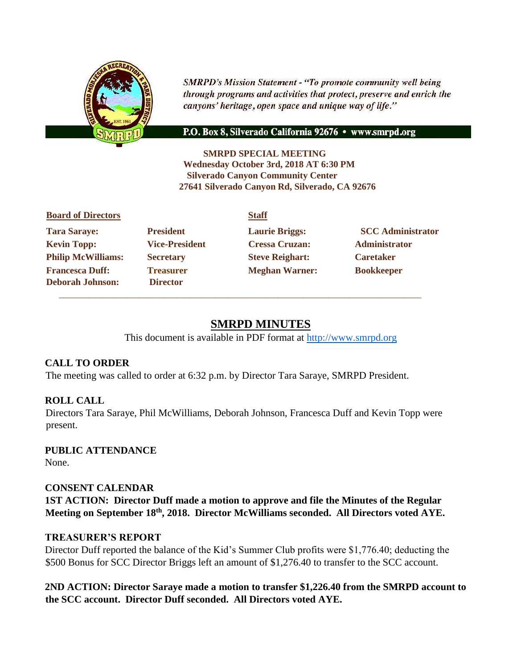

**SMRPD's Mission Statement - "To promote community well being** through programs and activities that protect, preserve and enrich the canyons' heritage, open space and unique way of life."

#### P.O. Box 8, Silverado California 92676 · www.smrpd.org

**SMRPD SPECIAL MEETING Wednesday October 3rd, 2018 AT 6:30 PM Silverado Canyon Community Center 27641 Silverado Canyon Rd, Silverado, CA 92676** 

| <b>Board of Directors</b> |                       | <b>Staff</b>           |                          |
|---------------------------|-----------------------|------------------------|--------------------------|
| <b>Tara Saraye:</b>       | <b>President</b>      | <b>Laurie Briggs:</b>  | <b>SCC Administrator</b> |
| <b>Kevin Topp:</b>        | <b>Vice-President</b> | <b>Cressa Cruzan:</b>  | <b>Administrator</b>     |
| <b>Philip McWilliams:</b> | <b>Secretary</b>      | <b>Steve Reighart:</b> | <b>Caretaker</b>         |
| <b>Francesca Duff:</b>    | <b>Treasurer</b>      | <b>Meghan Warner:</b>  | <b>Bookkeeper</b>        |
| <b>Deborah Johnson:</b>   | <b>Director</b>       |                        |                          |
|                           |                       |                        |                          |

# **SMRPD MINUTES**

This document is available in PDF format at [http://www.smrpd.org](http://www.smrpd.org/)

### **CALL TO ORDER**

The meeting was called to order at 6:32 p.m. by Director Tara Saraye, SMRPD President.

### **ROLL CALL**

Directors Tara Saraye, Phil McWilliams, Deborah Johnson, Francesca Duff and Kevin Topp were present.

**PUBLIC ATTENDANCE**  None.

#### **CONSENT CALENDAR**

**1ST ACTION: Director Duff made a motion to approve and file the Minutes of the Regular Meeting on September 18th , 2018. Director McWilliams seconded. All Directors voted AYE.** 

#### **TREASURER'S REPORT**

Director Duff reported the balance of the Kid's Summer Club profits were \$1,776.40; deducting the \$500 Bonus for SCC Director Briggs left an amount of \$1,276.40 to transfer to the SCC account.

**2ND ACTION: Director Saraye made a motion to transfer \$1,226.40 from the SMRPD account to the SCC account. Director Duff seconded. All Directors voted AYE.**